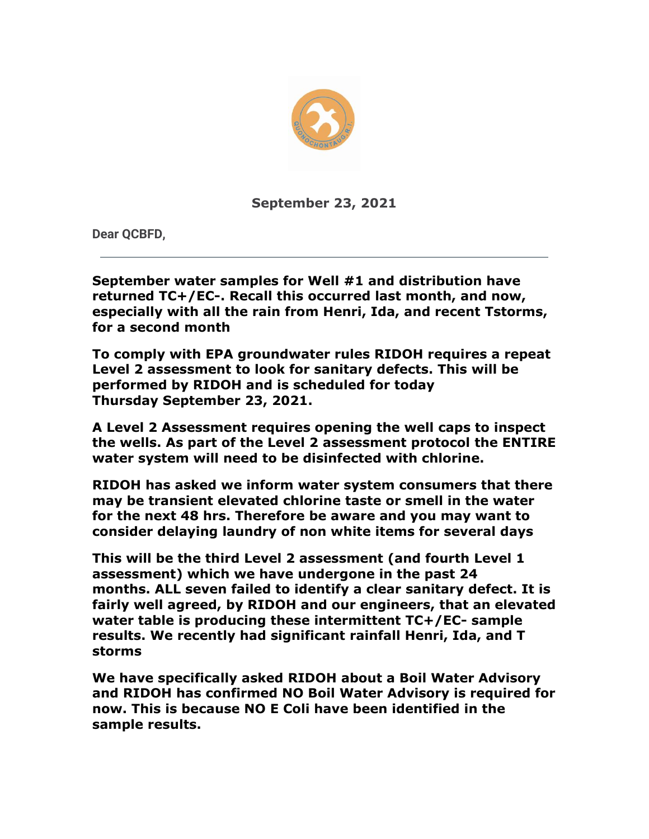

**September 23, 2021**

**Dear QCBFD,**

**September water samples for Well #1 and distribution have returned TC+/EC-. Recall this occurred last month, and now, especially with all the rain from Henri, Ida, and recent Tstorms, for a second month**

**To comply with EPA groundwater rules RIDOH requires a repeat Level 2 assessment to look for sanitary defects. This will be performed by RIDOH and is scheduled for today Thursday September 23, 2021.**

**A Level 2 Assessment requires opening the well caps to inspect the wells. As part of the Level 2 assessment protocol the ENTIRE water system will need to be disinfected with chlorine.**

**RIDOH has asked we inform water system consumers that there may be transient elevated chlorine taste or smell in the water for the next 48 hrs. Therefore be aware and you may want to consider delaying laundry of non white items for several days**

**This will be the third Level 2 assessment (and fourth Level 1 assessment) which we have undergone in the past 24 months. ALL seven failed to identify a clear sanitary defect. It is fairly well agreed, by RIDOH and our engineers, that an elevated water table is producing these intermittent TC+/EC- sample results. We recently had significant rainfall Henri, Ida, and T storms**

**We have specifically asked RIDOH about a Boil Water Advisory and RIDOH has confirmed NO Boil Water Advisory is required for now. This is because NO E Coli have been identified in the sample results.**